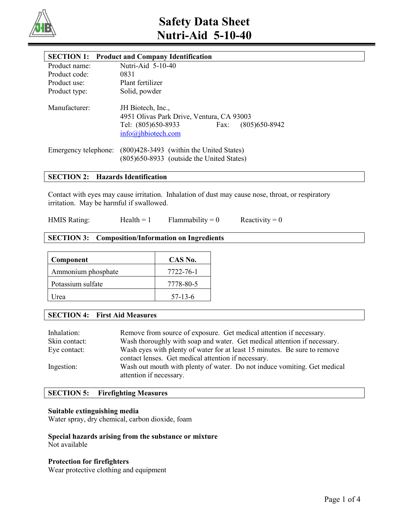

# **Safety Data Sheet Nutri-Aid 5-10-40**

| <b>SECTION 1:</b>    | <b>Product and Company Identification</b>                                                                                              |
|----------------------|----------------------------------------------------------------------------------------------------------------------------------------|
| Product name:        | Nutri-Aid 5-10-40                                                                                                                      |
| Product code:        | 0831                                                                                                                                   |
| Product use:         | Plant fertilizer                                                                                                                       |
| Product type:        | Solid, powder                                                                                                                          |
| Manufacturer:        | JH Biotech, Inc.,<br>4951 Olivas Park Drive, Ventura, CA 93003<br>Tel: (805)650-8933<br>$(805)$ 650-8942<br>Fax:<br>info@jhbiotech.com |
| Emergency telephone: | (800)428-3493 (within the United States)<br>(805) 650-8933 (outside the United States)                                                 |

# **SECTION 2: Hazards Identification**

Contact with eyes may cause irritation. Inhalation of dust may cause nose, throat, or respiratory irritation. May be harmful if swallowed.

HMIS Rating: Health = 1 Flammability = 0 Reactivity = 0

# **SECTION 3: Composition/Information on Ingredients**

| Component          | CAS No.   |
|--------------------|-----------|
| Ammonium phosphate | 7722-76-1 |
| Potassium sulfate  | 7778-80-5 |
| Jrea               | $57-13-6$ |

# **SECTION 4: First Aid Measures**

| Inhalation:<br>Skin contact: | Remove from source of exposure. Get medical attention if necessary.<br>Wash thoroughly with soap and water. Get medical attention if necessary. |
|------------------------------|-------------------------------------------------------------------------------------------------------------------------------------------------|
| Eye contact:                 | Wash eyes with plenty of water for at least 15 minutes. Be sure to remove                                                                       |
|                              | contact lenses. Get medical attention if necessary.                                                                                             |
| Ingestion:                   | Wash out mouth with plenty of water. Do not induce vomiting. Get medical<br>attention if necessary.                                             |

# **SECTION 5: Firefighting Measures**

## **Suitable extinguishing media**

Water spray, dry chemical, carbon dioxide, foam

# **Special hazards arising from the substance or mixture** Not available

# **Protection for firefighters**

Wear protective clothing and equipment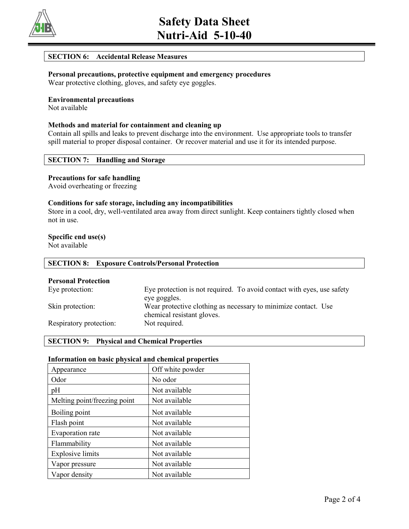

# **SECTION 6: Accidental Release Measures**

# **Personal precautions, protective equipment and emergency procedures** Wear protective clothing, gloves, and safety eye goggles.

**Environmental precautions**

Not available

# **Methods and material for containment and cleaning up**

Contain all spills and leaks to prevent discharge into the environment. Use appropriate tools to transfer spill material to proper disposal container. Or recover material and use it for its intended purpose.

# **SECTION 7: Handling and Storage**

## **Precautions for safe handling**

Avoid overheating or freezing

# **Conditions for safe storage, including any incompatibilities**

Store in a cool, dry, well-ventilated area away from direct sunlight. Keep containers tightly closed when not in use.

## **Specific end use(s)**

Not available

| <b>SECTION 8: Exposure Controls/Personal Protection</b> |                                                                        |  |
|---------------------------------------------------------|------------------------------------------------------------------------|--|
| <b>Personal Protection</b>                              | Eye protection is not required. To avoid contact with eyes, use safety |  |
| Eye protection:                                         | eve goggles.                                                           |  |

| Skin protection: | Wear protective clothing as necessary to minimize contact. Use |  |
|------------------|----------------------------------------------------------------|--|
|                  | chemical resistant gloves.                                     |  |

Respiratory protection: Not required.

# **SECTION 9: Physical and Chemical Properties**

## **Information on basic physical and chemical properties**

| Appearance                   | Off white powder |  |
|------------------------------|------------------|--|
| Odor                         | No odor          |  |
| pH                           | Not available    |  |
| Melting point/freezing point | Not available    |  |
| Boiling point                | Not available    |  |
| Flash point                  | Not available    |  |
| Evaporation rate             | Not available    |  |
| Flammability                 | Not available    |  |
| <b>Explosive limits</b>      | Not available    |  |
| Vapor pressure               | Not available    |  |
| Vapor density                | Not available    |  |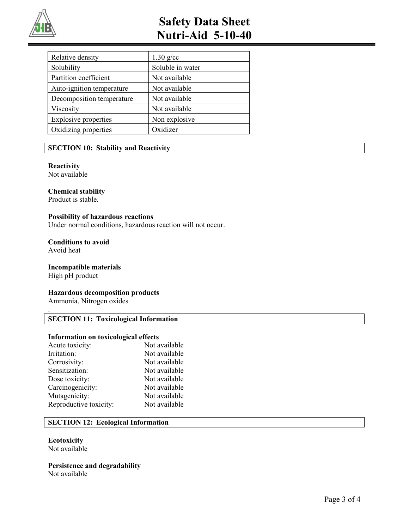

# **Safety Data Sheet Nutri-Aid 5-10-40**

| Relative density            | $1.30$ g/cc      |  |
|-----------------------------|------------------|--|
| Solubility                  | Soluble in water |  |
| Partition coefficient       | Not available    |  |
| Auto-ignition temperature   | Not available    |  |
| Decomposition temperature   | Not available    |  |
| Viscosity                   | Not available    |  |
| <b>Explosive properties</b> | Non explosive    |  |
| Oxidizing properties        | Oxidizer         |  |

# **SECTION 10: Stability and Reactivity**

# **Reactivity**

Not available

# **Chemical stability**

Product is stable.

# **Possibility of hazardous reactions**

Under normal conditions, hazardous reaction will not occur.

## **Conditions to avoid** Avoid heat

# **Incompatible materials**

High pH product

.

## **Hazardous decomposition products**

Ammonia, Nitrogen oxides

# **SECTION 11: Toxicological Information**

## **Information on toxicological effects**

| Acute toxicity:        | Not available |
|------------------------|---------------|
| Irritation:            | Not available |
| Corrosivity:           | Not available |
| Sensitization:         | Not available |
| Dose toxicity:         | Not available |
| Carcinogenicity:       | Not available |
| Mutagenicity:          | Not available |
| Reproductive toxicity: | Not available |
|                        |               |

# **SECTION 12: Ecological Information**

#### **Ecotoxicity** Not available

**Persistence and degradability** Not available